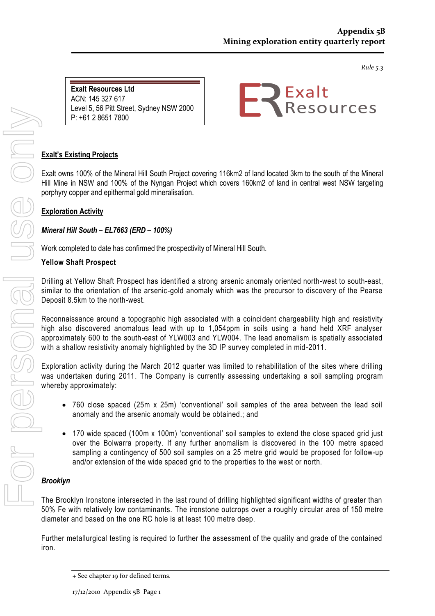*Rule 5.3*

**Exalt Resources Ltd**  ACN: 145 327 617 Level 5, 56 Pitt Street, Sydney NSW 2000 P: +61 2 8651 7800



### **Exalt's Existing Projects**

F: +61 2 9252 8466

Exalt owns 100% of the Mineral Hill South Project covering 116km2 of land located 3km to the south of the Mineral Hill Mine in NSW and 100% of the Nyngan Project which covers 160km2 of land in central west NSW targeting porphyry copper and epithermal gold mineralisation.

### **Exploration Activity**

### *Mineral Hill South – EL7663 (ERD – 100%)*

Work completed to date has confirmed the prospectivity of Mineral Hill South.

### **Yellow Shaft Prospect**

Drilling at Yellow Shaft Prospect has identified a strong arsenic anomaly oriented north-west to south-east, similar to the orientation of the arsenic-gold anomaly which was the precursor to discovery of the Pearse Deposit 8.5km to the north-west.

Reconnaissance around a topographic high associated with a coincident chargeability high and resistivity high also discovered anomalous lead with up to 1,054ppm in soils using a hand held XRF analyser approximately 600 to the south-east of YLW003 and YLW004. The lead anomalism is spatially associated with a shallow resistivity anomaly highlighted by the 3D IP survey completed in mid-2011.

Exploration activity during the March 2012 quarter was limited to rehabilitation of the sites where drilling was undertaken during 2011. The Company is currently assessing undertaking a soil sampling program whereby approximately:

- 760 close spaced (25m x 25m) 'conventional' soil samples of the area between the lead soil anomaly and the arsenic anomaly would be obtained.; and
- 170 wide spaced (100m x 100m) 'conventional' soil samples to extend the close spaced grid just over the Bolwarra property. If any further anomalism is discovered in the 100 metre spaced sampling a contingency of 500 soil samples on a 25 metre grid would be proposed for follow-up and/or extension of the wide spaced grid to the properties to the west or north.

### *Brooklyn*

The Brooklyn Ironstone intersected in the last round of drilling highlighted significant widths of greater than 50% Fe with relatively low contaminants. The ironstone outcrops over a roughly circular area of 150 metre diameter and based on the one RC hole is at least 100 metre deep.

Further metallurgical testing is required to further the assessment of the quality and grade of the contained iron.

<sup>+</sup> See chapter 19 for defined terms.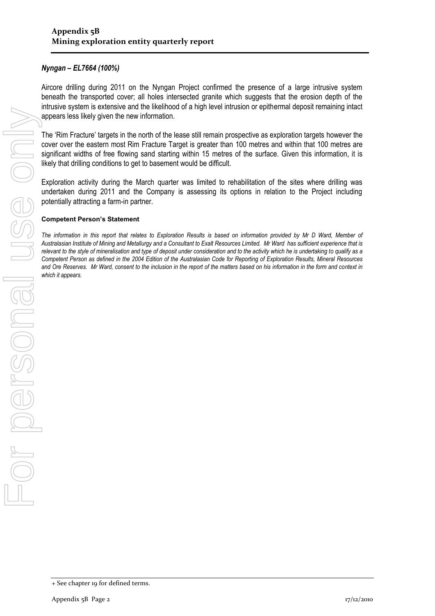### *Nyngan – EL7664 (100%)*

Aircore drilling during 2011 on the Nyngan Project confirmed the presence of a large intrusive system beneath the transported cover; all holes intersected granite which suggests that the erosion depth of the intrusive system is extensive and the likelihood of a high level intrusion or epithermal deposit remaining intact appears less likely given the new information.

The 'Rim Fracture' targets in the north of the lease still remain prospective as exploration targets however the cover over the eastern most Rim Fracture Target is greater than 100 metres and within that 100 metres are significant widths of free flowing sand starting within 15 metres of the surface. Given this information, it is likely that drilling conditions to get to basement would be difficult.

Exploration activity during the March quarter was limited to rehabilitation of the sites where drilling was undertaken during 2011 and the Company is assessing its options in relation to the Project including potentially attracting a farm-in partner.

### **Competent Person's Statement**

*The information in this report that relates to Exploration Results is based on information provided by Mr D Ward, Member of Australasian Institute of Mining and Metallurgy and a Consultant to Exalt Resources Limited. Mr Ward has sufficient experience that is relevant to the style of mineralisation and type of deposit under consideration and to the activity which he is undertaking to qualify as a Competent Person as defined in the 2004 Edition of the Australasian Code for Reporting of Exploration Results, Mineral Resources and Ore Reserves. Mr Ward, consent to the inclusion in the report of the matters based on his information in the form and context in*  which it appears.

<sup>+</sup> See chapter 19 for defined terms.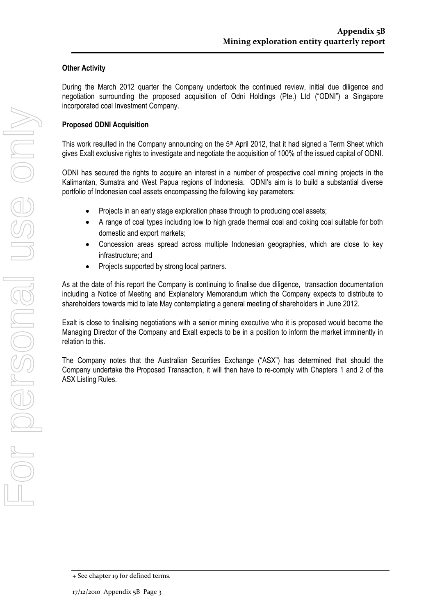### **Other Activity**

During the March 2012 quarter the Company undertook the continued review, initial due diligence and negotiation surrounding the proposed acquisition of Odni Holdings (Pte.) Ltd ("ODNI") a Singapore incorporated coal Investment Company.

### **Proposed ODNI Acquisition**

This work resulted in the Company announcing on the 5<sup>th</sup> April 2012, that it had signed a Term Sheet which gives Exalt exclusive rights to investigate and negotiate the acquisition of 100% of the issued capital of ODNI.

ODNI has secured the rights to acquire an interest in a number of prospective coal mining projects in the Kalimantan, Sumatra and West Papua regions of Indonesia. ODNI's aim is to build a substantial diverse portfolio of Indonesian coal assets encompassing the following key parameters:

- Projects in an early stage exploration phase through to producing coal assets;
- A range of coal types including low to high grade thermal coal and coking coal suitable for both domestic and export markets;
- Concession areas spread across multiple Indonesian geographies, which are close to key infrastructure; and
- Projects supported by strong local partners.

As at the date of this report the Company is continuing to finalise due diligence, transaction documentation including a Notice of Meeting and Explanatory Memorandum which the Company expects to distribute to shareholders towards mid to late May contemplating a general meeting of shareholders in June 2012.

Exalt is close to finalising negotiations with a senior mining executive who it is proposed would become the Managing Director of the Company and Exalt expects to be in a position to inform the market imminently in relation to this.

The Company notes that the Australian Securities Exchange ("ASX") has determined that should the Company undertake the Proposed Transaction, it will then have to re-comply with Chapters 1 and 2 of the ASX Listing Rules.

<sup>+</sup> See chapter 19 for defined terms.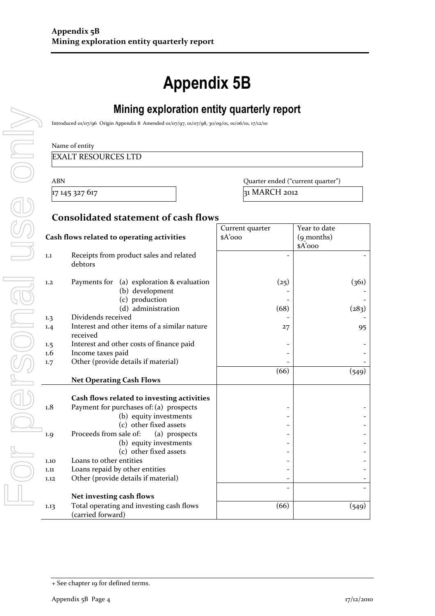# **Appendix 5B**

# **Mining exploration entity quarterly report**

Introduced 01/07/96 Origin Appendix 8 Amended 01/07/97, 01/07/98, 30/09/01, 01/06/10, 17/12/10

### Name of entity

### EXALT RESOURCES LTD

ABN Quarter ended ("current quarter")  $17 145 327 617$  31 MARCH 2012

### **Consolidated statement of cash flows**

|                                            |                                                                 | Current quarter | Year to date |
|--------------------------------------------|-----------------------------------------------------------------|-----------------|--------------|
| Cash flows related to operating activities |                                                                 | $A'$ ooo        | (9 months)   |
|                                            |                                                                 |                 | $sA'$ 000    |
| 1.1                                        | Receipts from product sales and related<br>debtors              |                 |              |
| 1.2                                        | Payments for<br>(a) exploration & evaluation<br>(b) development | (25)            | (361)        |
|                                            | (c) production                                                  |                 |              |
|                                            | (d) administration<br>Dividends received                        | (68)            | (283)        |
| 1.3                                        | Interest and other items of a similar nature                    |                 |              |
| 1.4                                        | received                                                        | 27              | 95           |
| 1.5                                        | Interest and other costs of finance paid                        |                 |              |
| 1.6                                        | Income taxes paid                                               |                 |              |
| 1.7                                        | Other (provide details if material)                             |                 |              |
|                                            |                                                                 | (66)            | (549)        |
|                                            | <b>Net Operating Cash Flows</b>                                 |                 |              |
|                                            |                                                                 |                 |              |
|                                            | Cash flows related to investing activities                      |                 |              |
| 1.8                                        | Payment for purchases of: (a) prospects                         |                 |              |
|                                            | (b) equity investments                                          |                 |              |
|                                            | (c) other fixed assets                                          |                 |              |
| 1.9                                        | Proceeds from sale of:<br>(a) prospects                         |                 |              |
|                                            | (b) equity investments                                          |                 |              |
|                                            | (c) other fixed assets                                          |                 |              |
| 1.10                                       | Loans to other entities                                         |                 |              |
| 1.11                                       | Loans repaid by other entities                                  |                 |              |
| 1.12                                       | Other (provide details if material)                             |                 |              |
|                                            |                                                                 |                 |              |
|                                            | Net investing cash flows                                        |                 |              |
| 1.13                                       | Total operating and investing cash flows                        | (66)            | (549)        |
|                                            | (carried forward)                                               |                 |              |

<sup>+</sup> See chapter 19 for defined terms.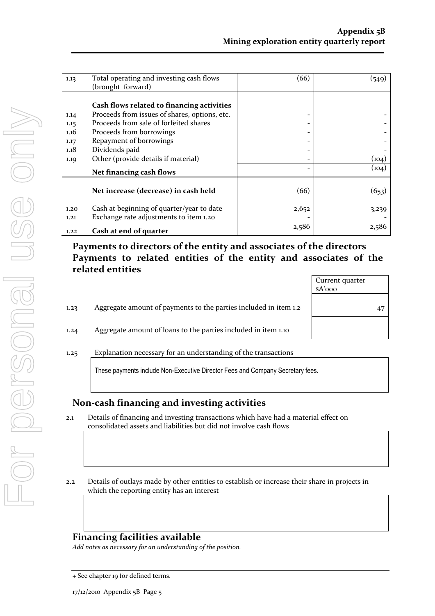| 1.13 | Total operating and investing cash flows      | (66)                     | (549) |
|------|-----------------------------------------------|--------------------------|-------|
|      | (brought forward)                             |                          |       |
|      |                                               |                          |       |
|      | Cash flows related to financing activities    |                          |       |
| 1.14 | Proceeds from issues of shares, options, etc. | -                        |       |
| 1.15 | Proceeds from sale of forfeited shares        | -                        |       |
| 1.16 | Proceeds from borrowings                      | -                        |       |
| 1.17 | Repayment of borrowings                       | -                        |       |
| 1.18 | Dividends paid                                | $\overline{\phantom{a}}$ |       |
| 1.19 | Other (provide details if material)           | -                        | (104) |
|      | Net financing cash flows                      | -                        | (104) |
|      |                                               |                          |       |
|      | Net increase (decrease) in cash held          | (66)                     | (653) |
|      |                                               |                          |       |
| 1.20 | Cash at beginning of quarter/year to date     | 2,652                    | 3,239 |
| 1.21 | Exchange rate adjustments to item 1.20        |                          |       |
| 1.22 | Cash at end of quarter                        | 2,586                    | 2,586 |

# **Payments to directors of the entity and associates of the directors Payments to related entities of the entity and associates of the related entities**

|      |                                                                                | Current quarter<br>$A'$ ooo |    |
|------|--------------------------------------------------------------------------------|-----------------------------|----|
| 1.23 | Aggregate amount of payments to the parties included in item 1.2               |                             | 47 |
| 1.24 | Aggregate amount of loans to the parties included in item 1.10                 |                             |    |
| 1.25 | Explanation necessary for an understanding of the transactions                 |                             |    |
|      | These payments include Non-Executive Director Fees and Company Secretary fees. |                             |    |

### **Non-cash financing and investing activities**

- 2.1 Details of financing and investing transactions which have had a material effect on consolidated assets and liabilities but did not involve cash flows
- 2.2 Details of outlays made by other entities to establish or increase their share in projects in which the reporting entity has an interest

## **Financing facilities available**

*Add notes as necessary for an understanding of the position.*

<sup>+</sup> See chapter 19 for defined terms.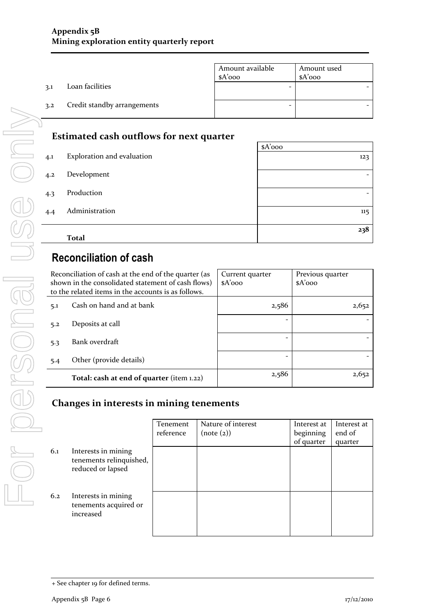|     |                             | Amount available<br>$A'$ 000 | Amount used<br>$A'$ 000 |
|-----|-----------------------------|------------------------------|-------------------------|
| 3.1 | Loan facilities             |                              |                         |
| 3.2 | Credit standby arrangements |                              |                         |

# **Estimated cash outflows for next quarter**

|     |                            | $A'$ 000 |
|-----|----------------------------|----------|
| 4.1 | Exploration and evaluation | 123      |
| 4.2 | Development                | -        |
| 4.3 | Production                 |          |
| 4.4 | Administration             | 115      |
|     | <b>Total</b>               | 238      |

# **Reconciliation of cash**

| Reconciliation of cash at the end of the quarter (as<br>shown in the consolidated statement of cash flows)<br>to the related items in the accounts is as follows. |                                           | Current quarter<br>$A'$ 000 | Previous quarter<br>$A'$ 000 |
|-------------------------------------------------------------------------------------------------------------------------------------------------------------------|-------------------------------------------|-----------------------------|------------------------------|
| 5.1                                                                                                                                                               | Cash on hand and at bank                  | 2,586                       | 2,652                        |
| 5.2                                                                                                                                                               | Deposits at call                          |                             |                              |
| 5.3                                                                                                                                                               | Bank overdraft                            |                             |                              |
| 5.4                                                                                                                                                               | Other (provide details)                   |                             |                              |
|                                                                                                                                                                   | Total: cash at end of quarter (item 1.22) | 2,586                       | 2,652                        |

# **Changes in interests in mining tenements**

|     |                                                                     | Tenement  | Nature of interest | Interest at | Interest at |
|-----|---------------------------------------------------------------------|-----------|--------------------|-------------|-------------|
|     |                                                                     | reference | (note (2))         | beginning   | end of      |
|     |                                                                     |           |                    | of quarter  | quarter     |
| 6.1 | Interests in mining<br>tenements relinquished,<br>reduced or lapsed |           |                    |             |             |
| 6.2 | Interests in mining<br>tenements acquired or<br>increased           |           |                    |             |             |

<sup>+</sup> See chapter 19 for defined terms.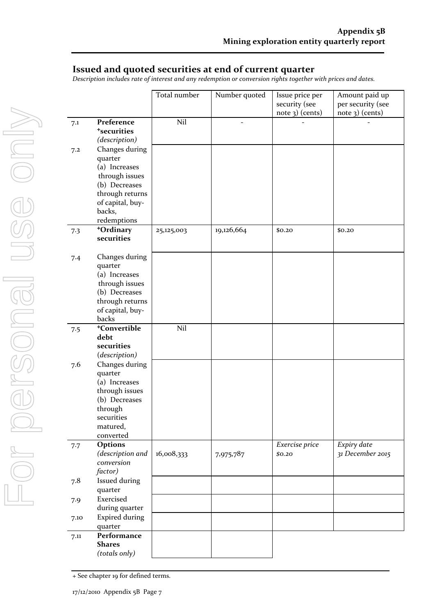### **Issued and quoted securities at end of current quarter**

*Description includes rate of interest and any redemption or conversion rights together with prices and dates.*

|      |                           | Total number | Number quoted  | Issue price per | Amount paid up    |
|------|---------------------------|--------------|----------------|-----------------|-------------------|
|      |                           |              |                | security (see   | per security (see |
|      |                           |              |                | note 3) (cents) | $note$ 3) (cents) |
| 7.1  | Preference                | Nil          | $\overline{a}$ |                 |                   |
|      | <sup>+</sup> securities   |              |                |                 |                   |
|      | (description)             |              |                |                 |                   |
| 7.2  | Changes during            |              |                |                 |                   |
|      | quarter                   |              |                |                 |                   |
|      | (a) Increases             |              |                |                 |                   |
|      | through issues            |              |                |                 |                   |
|      | (b) Decreases             |              |                |                 |                   |
|      | through returns           |              |                |                 |                   |
|      | of capital, buy-          |              |                |                 |                   |
|      | backs,                    |              |                |                 |                   |
|      | redemptions               |              |                |                 |                   |
| 7.3  | +Ordinary                 | 25,125,003   | 19,126,664     | \$0.20          | \$0.20            |
|      | securities                |              |                |                 |                   |
|      |                           |              |                |                 |                   |
| 7.4  | Changes during            |              |                |                 |                   |
|      | quarter                   |              |                |                 |                   |
|      | (a) Increases             |              |                |                 |                   |
|      | through issues            |              |                |                 |                   |
|      | (b) Decreases             |              |                |                 |                   |
|      | through returns           |              |                |                 |                   |
|      | of capital, buy-<br>backs |              |                |                 |                   |
|      | <sup>+</sup> Convertible  | Nil          |                |                 |                   |
| 7.5  | debt                      |              |                |                 |                   |
|      | securities                |              |                |                 |                   |
|      | (description)             |              |                |                 |                   |
| 7.6  | Changes during            |              |                |                 |                   |
|      | quarter                   |              |                |                 |                   |
|      | (a) Increases             |              |                |                 |                   |
|      | through issues            |              |                |                 |                   |
|      | (b) Decreases             |              |                |                 |                   |
|      | through                   |              |                |                 |                   |
|      | securities                |              |                |                 |                   |
|      | matured,                  |              |                |                 |                   |
|      | converted                 |              |                |                 |                   |
| 7.7  | Options                   |              |                | Exercise price  | Expiry date       |
|      | (description and          | 16,008,333   | 7,975,787      | \$0.20          | 31 December 2015  |
|      | conversion                |              |                |                 |                   |
|      | factor)                   |              |                |                 |                   |
| 7.8  | Issued during             |              |                |                 |                   |
|      | quarter                   |              |                |                 |                   |
| 7.9  | Exercised                 |              |                |                 |                   |
|      | during quarter            |              |                |                 |                   |
| 7.10 | <b>Expired during</b>     |              |                |                 |                   |
|      | quarter                   |              |                |                 |                   |
| 7.11 | Performance               |              |                |                 |                   |
|      | <b>Shares</b>             |              |                |                 |                   |
|      | (totals only)             |              |                |                 |                   |

+ See chapter 19 for defined terms.